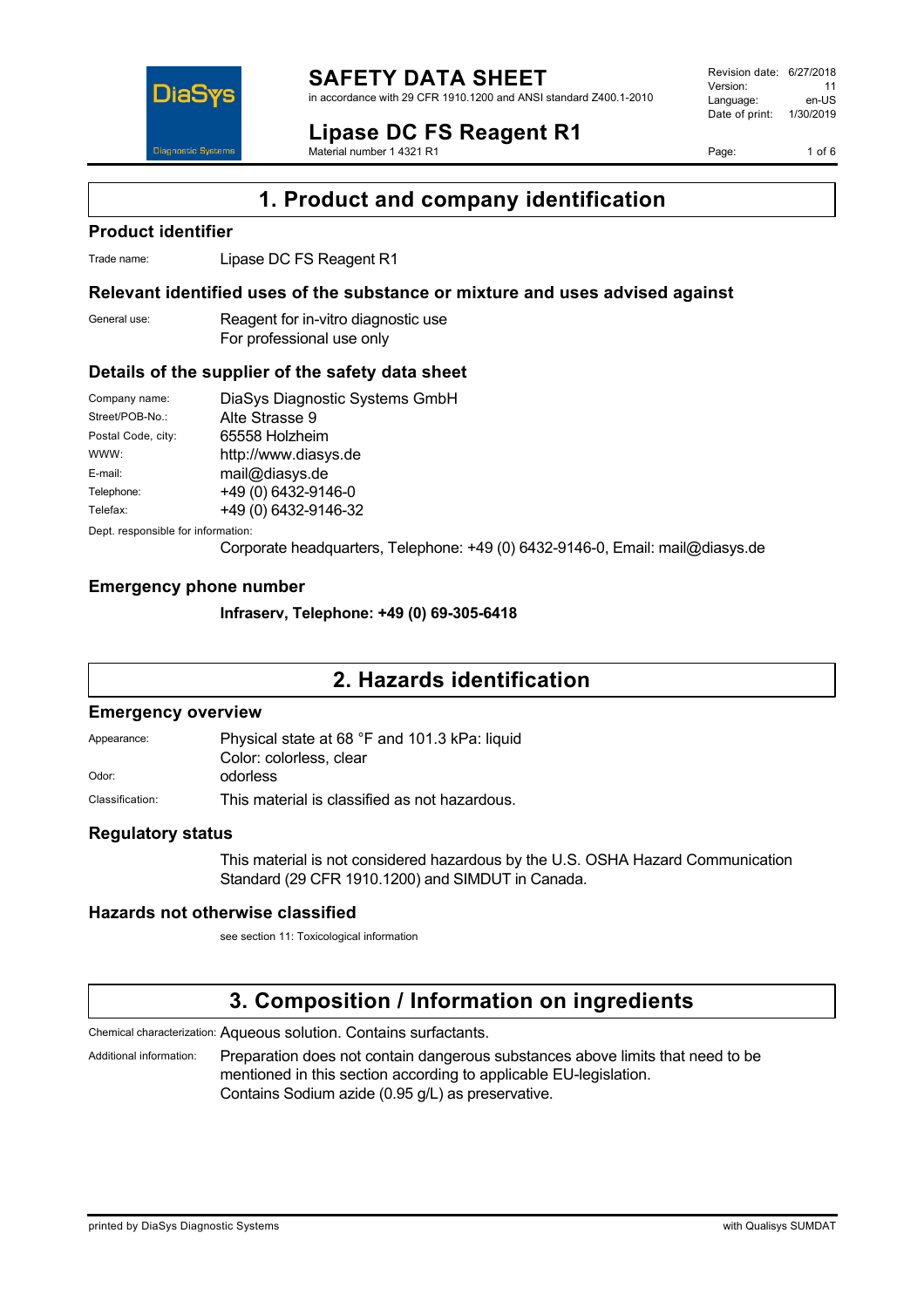

in accordance with 29 CFR 1910.1200 and ANSI standard Z400.1-2010

#### **Lipase DC FS Reagent R1** Material number 1 4321 R1

Revision date: 6/27/2018 Version: 11<br>Language: en-LIS Language: Date of print: 1/30/2019

Page: 1 of 6



**1. Product and company identification**

## **Product identifier**

Trade name: Lipase DC FS Reagent R1

## **Relevant identified uses of the substance or mixture and uses advised against**

General use: Reagent for in-vitro diagnostic use For professional use only

## **Details of the supplier of the safety data sheet**

| Company name:      | DiaSys Diagnostic Systems GmbH |
|--------------------|--------------------------------|
| Street/POB-No.:    | Alte Strasse 9                 |
| Postal Code, city: | 65558 Holzheim                 |
| WWW:               | http://www.diasys.de           |
| E-mail:            | mail@diasys.de                 |
| Telephone:         | +49 (0) 6432-9146-0            |
| Telefax:           | +49 (0) 6432-9146-32           |

Dept. responsible for information:

Corporate headquarters, Telephone: +49 (0) 6432-9146-0, Email: mail@diasys.de

## **Emergency phone number**

**Infraserv, Telephone: +49 (0) 69-305-6418**

## **2. Hazards identification**

#### **Emergency overview**

Appearance: Physical state at 68 °F and 101.3 kPa: liquid Color: colorless, clear Odor: odorless Classification: This material is classified as not hazardous.

## **Regulatory status**

This material is not considered hazardous by the U.S. OSHA Hazard Communication Standard (29 CFR 1910.1200) and SIMDUT in Canada.

## **Hazards not otherwise classified**

see section 11: Toxicological information

## **3. Composition / Information on ingredients**

Chemical characterization: Aqueous solution. Contains surfactants.

Additional information: Preparation does not contain dangerous substances above limits that need to be mentioned in this section according to applicable EU-legislation. Contains Sodium azide (0.95 g/L) as preservative.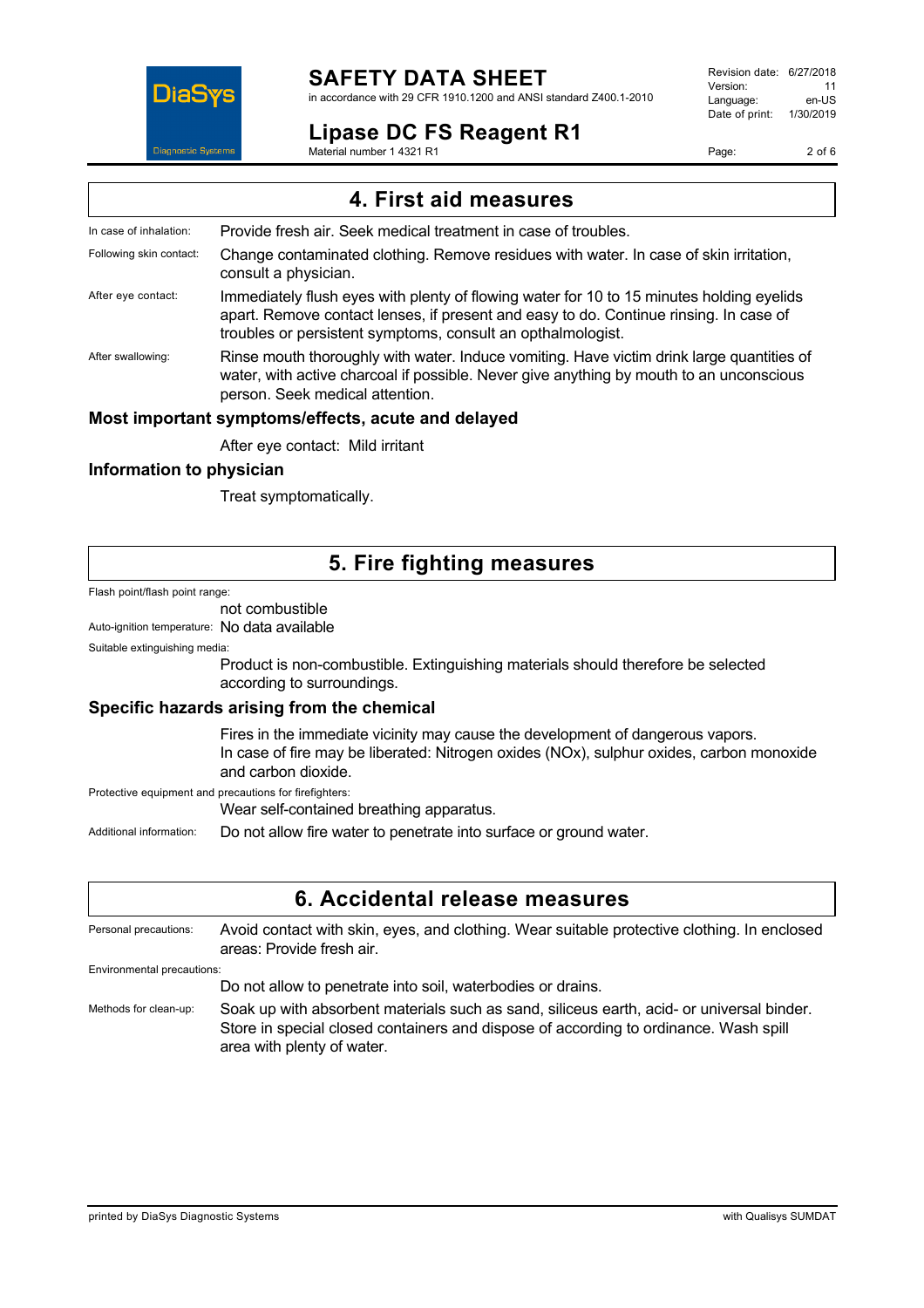

in accordance with 29 CFR 1910.1200 and ANSI standard Z400.1-2010

## **Lipase DC FS Reagent R1**

Material number 1 4321 R1

Revision date: 6/27/2018 Version: 11<br>Language: en-LIS Language: Date of print: 1/30/2019

Page: 2 of 6

| 4. First aid measures   |                                                                                                                                                                                                                                                  |  |
|-------------------------|--------------------------------------------------------------------------------------------------------------------------------------------------------------------------------------------------------------------------------------------------|--|
| In case of inhalation:  | Provide fresh air. Seek medical treatment in case of troubles.                                                                                                                                                                                   |  |
| Following skin contact: | Change contaminated clothing. Remove residues with water. In case of skin irritation,<br>consult a physician.                                                                                                                                    |  |
| After eye contact:      | Immediately flush eyes with plenty of flowing water for 10 to 15 minutes holding eyelids<br>apart. Remove contact lenses, if present and easy to do. Continue rinsing. In case of<br>troubles or persistent symptoms, consult an opthalmologist. |  |
| After swallowing:       | Rinse mouth thoroughly with water. Induce vomiting. Have victim drink large quantities of<br>water, with active charcoal if possible. Never give anything by mouth to an unconscious<br>person. Seek medical attention.                          |  |
|                         | Most important symptoms/effects, acute and delayed                                                                                                                                                                                               |  |
|                         | After eye contact: Mild irritant                                                                                                                                                                                                                 |  |

## **Information to physician**

Treat symptomatically.

## **5. Fire fighting measures**

Flash point/flash point range:

## not combustible

Auto-ignition temperature: No data available

#### Suitable extinguishing media:

Product is non-combustible. Extinguishing materials should therefore be selected according to surroundings.

#### **Specific hazards arising from the chemical**

Fires in the immediate vicinity may cause the development of dangerous vapors. In case of fire may be liberated: Nitrogen oxides (NOx), sulphur oxides, carbon monoxide and carbon dioxide.

Protective equipment and precautions for firefighters:

Wear self-contained breathing apparatus.

Additional information: Do not allow fire water to penetrate into surface or ground water.

## **6. Accidental release measures**

Personal precautions: Avoid contact with skin, eyes, and clothing. Wear suitable protective clothing. In enclosed areas: Provide fresh air.

Environmental precautions:

Do not allow to penetrate into soil, waterbodies or drains.

Methods for clean-up: Soak up with absorbent materials such as sand, siliceus earth, acid- or universal binder. Store in special closed containers and dispose of according to ordinance. Wash spill area with plenty of water.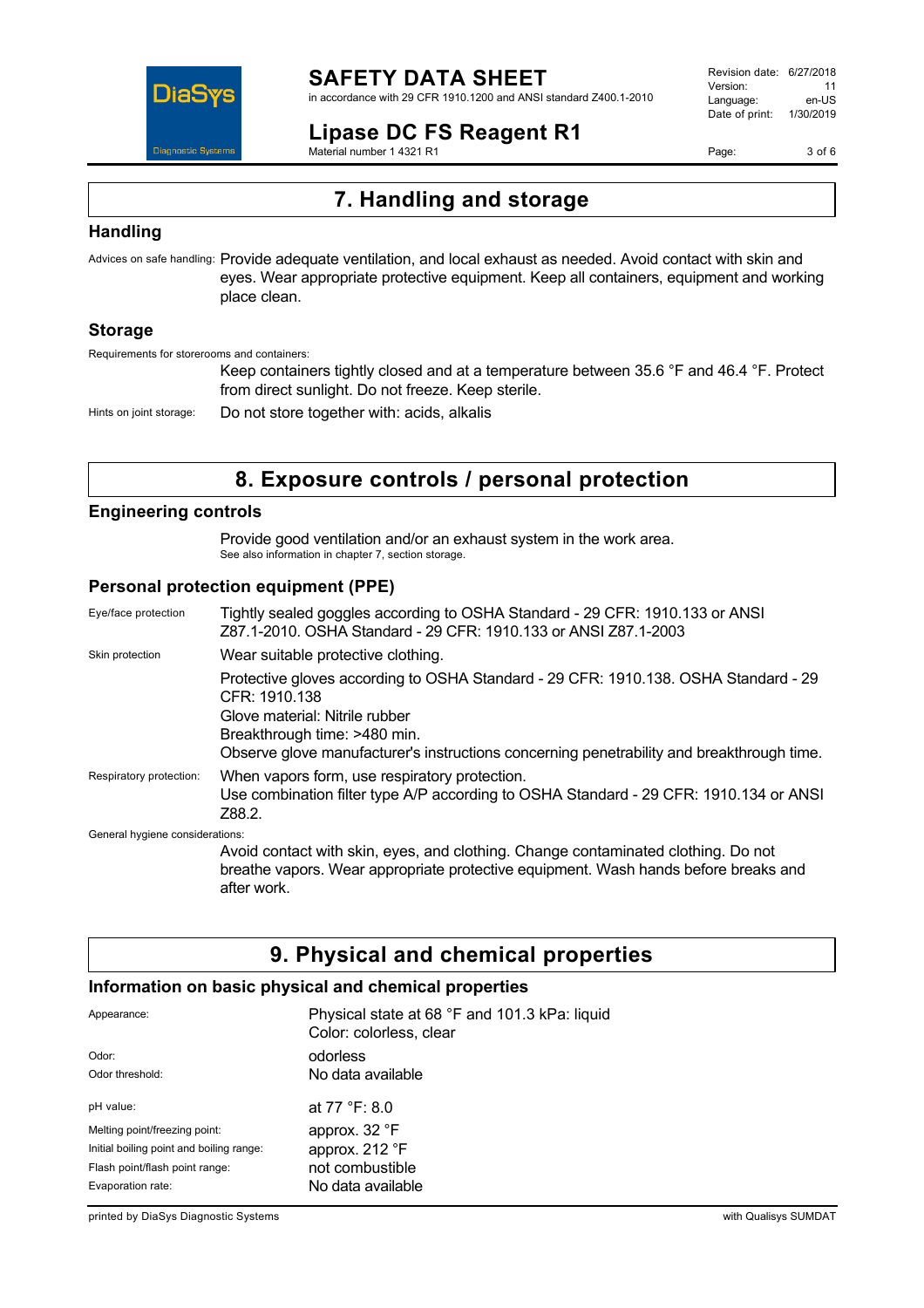

in accordance with 29 CFR 1910.1200 and ANSI standard Z400.1-2010

## **Lipase DC FS Reagent R1**

Material number 1 4321 R1

Revision date: 6/27/2018 Version: 11<br>Language: en-LIS Language: Date of print: 1/30/2019

Page: 3 of 6

# **7. Handling and storage**

## **Handling**

Advices on safe handling: Provide adequate ventilation, and local exhaust as needed. Avoid contact with skin and eyes. Wear appropriate protective equipment. Keep all containers, equipment and working place clean.

## **Storage**

Requirements for storerooms and containers:

Keep containers tightly closed and at a temperature between 35.6 °F and 46.4 °F. Protect from direct sunlight. Do not freeze. Keep sterile.

Hints on joint storage: Do not store together with: acids, alkalis

## **8. Exposure controls / personal protection**

#### **Engineering controls**

Provide good ventilation and/or an exhaust system in the work area. See also information in chapter 7, section storage.

## **Personal protection equipment (PPE)**

after work.

| Eye/face protection             | Tightly sealed goggles according to OSHA Standard - 29 CFR: 1910.133 or ANSI<br>Z87.1-2010, OSHA Standard - 29 CFR: 1910.133 or ANSI Z87.1-2003                                                                                                                     |
|---------------------------------|---------------------------------------------------------------------------------------------------------------------------------------------------------------------------------------------------------------------------------------------------------------------|
| Skin protection                 | Wear suitable protective clothing.                                                                                                                                                                                                                                  |
|                                 | Protective gloves according to OSHA Standard - 29 CFR: 1910.138. OSHA Standard - 29<br>CFR: 1910.138<br>Glove material: Nitrile rubber<br>Breakthrough time: >480 min.<br>Observe glove manufacturer's instructions concerning penetrability and breakthrough time. |
| Respiratory protection:         | When vapors form, use respiratory protection.<br>Use combination filter type A/P according to OSHA Standard - 29 CFR: 1910.134 or ANSI<br>Z88.2.                                                                                                                    |
| General hygiene considerations: |                                                                                                                                                                                                                                                                     |
|                                 | Avoid contact with skin, eyes, and clothing. Change contaminated clothing. Do not<br>breathe vapors. Wear appropriate protective equipment. Wash hands before breaks and                                                                                            |

**9. Physical and chemical properties**

## **Information on basic physical and chemical properties**

| Appearance:                              | Physical state at 68 °F and 101.3 kPa: liquid<br>Color: colorless, clear |
|------------------------------------------|--------------------------------------------------------------------------|
| Odor:                                    | odorless                                                                 |
| Odor threshold:                          | No data available                                                        |
| pH value:                                | at 77 °F: 8.0                                                            |
| Melting point/freezing point:            | approx. 32 °F                                                            |
| Initial boiling point and boiling range: | approx. 212 °F                                                           |
| Flash point/flash point range:           | not combustible                                                          |
| Evaporation rate:                        | No data available                                                        |

printed by DiaSys Diagnostic Systems with Qualisys SUMDAT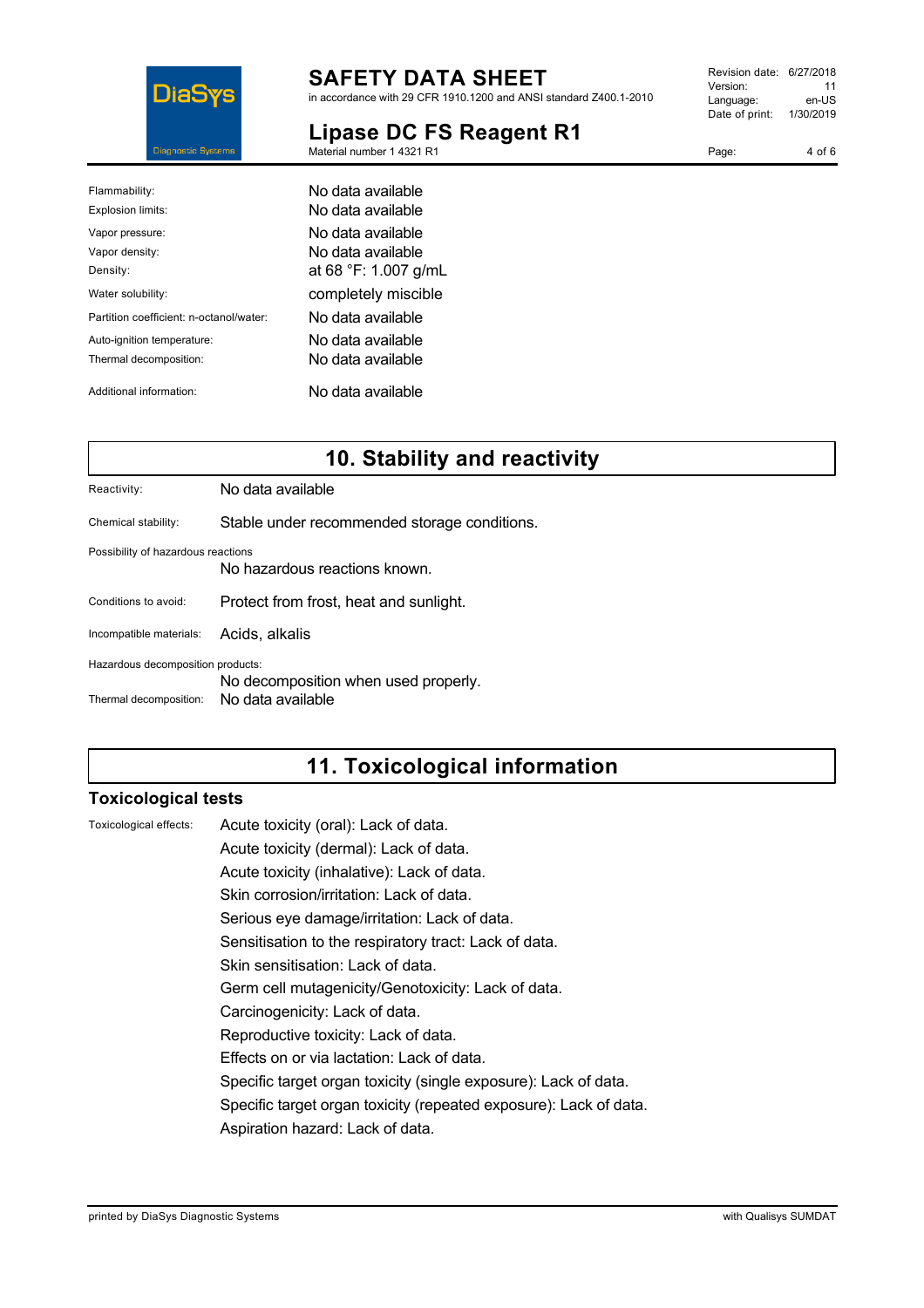

in accordance with 29 CFR 1910.1200 and ANSI standard Z400.1-2010

#### **Lipase DC FS Reagent R1** Material number 1 4321 R1

Revision date: 6/27/2018 Version: 11<br>Language: en-LIS Language: Date of print: 1/30/2019

| Page: | 4 of 6 |
|-------|--------|
|       |        |

| Flammability:<br>Explosion limits:                   | No data available<br>No data available                         |
|------------------------------------------------------|----------------------------------------------------------------|
| Vapor pressure:<br>Vapor density:<br>Density:        | No data available<br>No data available<br>at 68 °F: 1.007 g/mL |
| Water solubility:                                    | completely miscible                                            |
| Partition coefficient: n-octanol/water:              | No data available                                              |
| Auto-ignition temperature:<br>Thermal decomposition: | No data available<br>No data available                         |
| Additional information:                              | No data available                                              |

## **10. Stability and reactivity**

Chemical stability: Stable under recommended storage conditions.

Possibility of hazardous reactions

No hazardous reactions known.

Conditions to avoid: Protect from frost, heat and sunlight.

Incompatible materials: Acids, alkalis

Hazardous decomposition products:

No decomposition when used properly.

Thermal decomposition: No data available

## **11. Toxicological information**

## **Toxicological tests**

Toxicological effects: Acute toxicity (oral): Lack of data.

Acute toxicity (dermal): Lack of data.

Acute toxicity (inhalative): Lack of data.

Skin corrosion/irritation: Lack of data.

Serious eye damage/irritation: Lack of data.

Sensitisation to the respiratory tract: Lack of data.

Skin sensitisation: Lack of data.

Germ cell mutagenicity/Genotoxicity: Lack of data.

Carcinogenicity: Lack of data.

Reproductive toxicity: Lack of data.

Effects on or via lactation: Lack of data.

Specific target organ toxicity (single exposure): Lack of data.

Specific target organ toxicity (repeated exposure): Lack of data.

Aspiration hazard: Lack of data.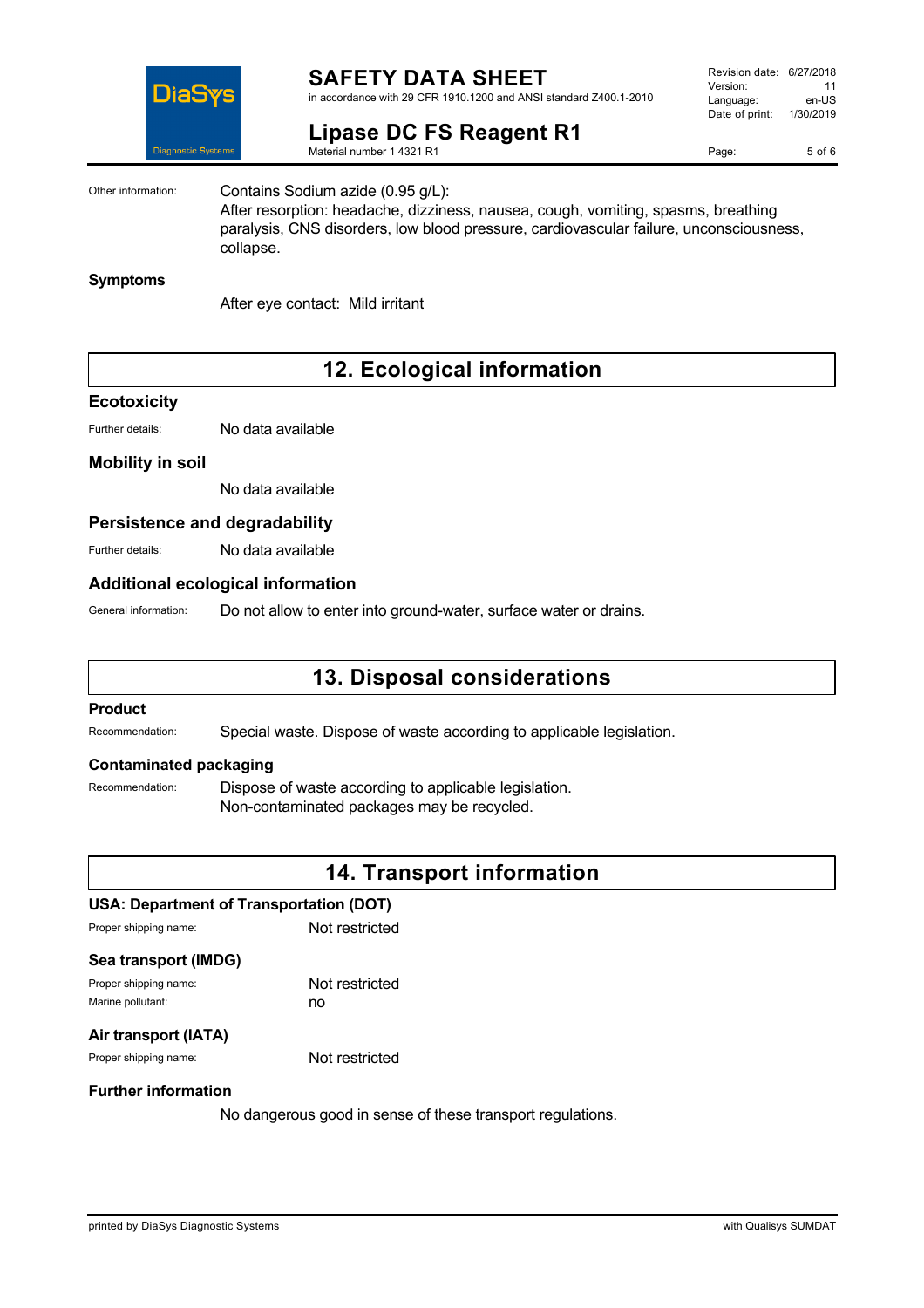

in accordance with 29 CFR 1910.1200 and ANSI standard Z400.1-2010

# **Lipase DC FS Reagent R1**

Material number 1 4321 R1

Revision date: 6/27/2018 Version: 11<br>Language: en-LIS Language: Date of print: 1/30/2019

Page: 5 of 6

Other information: Contains Sodium azide (0.95 g/L): After resorption: headache, dizziness, nausea, cough, vomiting, spasms, breathing

paralysis, CNS disorders, low blood pressure, cardiovascular failure, unconsciousness, collapse.

#### **Symptoms**

After eye contact: Mild irritant

## **12. Ecological information**

## **Ecotoxicity**

Further details: No data available

#### **Mobility in soil**

No data available

## **Persistence and degradability**

Further details: No data available

#### **Additional ecological information**

General information: Do not allow to enter into ground-water, surface water or drains.

## **13. Disposal considerations**

## **Product**

Recommendation: Special waste. Dispose of waste according to applicable legislation.

#### **Contaminated packaging**

Recommendation: Dispose of waste according to applicable legislation. Non-contaminated packages may be recycled.

## **14. Transport information**

#### **USA: Department of Transportation (DOT)**

Proper shipping name: Not restricted

#### **Sea transport (IMDG)**

Proper shipping name: Not restricted Marine pollutant: now no

## **Air transport (IATA)**

Proper shipping name: Not restricted

#### **Further information**

No dangerous good in sense of these transport regulations.